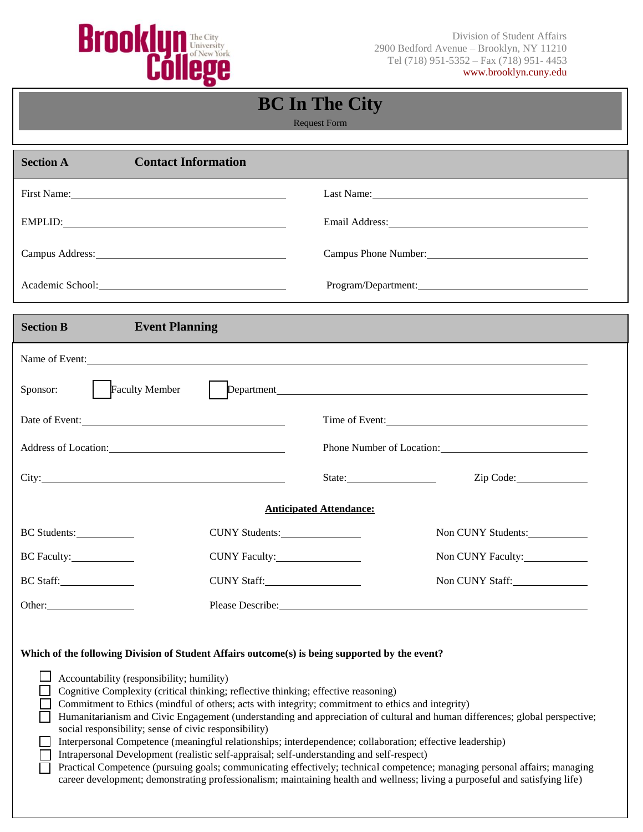

Division of Student Affairs Tel (718) 951-5352 – Fax (718) 951- 4453 www.brooklyn.cuny.edu

## **BC In The City**

Request Form

| <b>Contact Information</b><br><b>Section A</b>                                                                                                                                                                                                                                                                                                                                                                                                                                                                                                                                                            |                                                                                                                                                                                                                                                           |
|-----------------------------------------------------------------------------------------------------------------------------------------------------------------------------------------------------------------------------------------------------------------------------------------------------------------------------------------------------------------------------------------------------------------------------------------------------------------------------------------------------------------------------------------------------------------------------------------------------------|-----------------------------------------------------------------------------------------------------------------------------------------------------------------------------------------------------------------------------------------------------------|
| First Name: Name:                                                                                                                                                                                                                                                                                                                                                                                                                                                                                                                                                                                         | Last Name: 1000 million and the Manuscript of Manuscript and Manuscript and Manuscript and Manuscript and Manuscript and Manuscript and Manuscript and Manuscript and Manuscript and Manuscript and Manuscript and Manuscript                             |
| EMPLID: New York Contract the Contract of the Contract of the Contract of the Contract of the Contract of the Contract of the Contract of the Contract of the Contract of the Contract of the Contract of the Contract of the                                                                                                                                                                                                                                                                                                                                                                             | Email Address: No. 1996. The Contract of the Contract of the Contract of the Contract of the Contract of the Contract of the Contract of the Contract of the Contract of the Contract of the Contract of the Contract of the C                            |
| Campus Address: 2008 and 2008 and 2008 and 2008 and 2008 and 2008 and 2008 and 2008 and 2008 and 2008 and 2008 and 2008 and 2008 and 2008 and 2008 and 2008 and 2008 and 2008 and 2008 and 2008 and 2008 and 2008 and 2008 and                                                                                                                                                                                                                                                                                                                                                                            | Campus Phone Number:                                                                                                                                                                                                                                      |
| Academic School: <u>Cambridge Communication</u>                                                                                                                                                                                                                                                                                                                                                                                                                                                                                                                                                           | Program/Department:                                                                                                                                                                                                                                       |
| <b>Section B</b><br><b>Event Planning</b>                                                                                                                                                                                                                                                                                                                                                                                                                                                                                                                                                                 |                                                                                                                                                                                                                                                           |
|                                                                                                                                                                                                                                                                                                                                                                                                                                                                                                                                                                                                           | Name of Event:                                                                                                                                                                                                                                            |
| Sponsor:<br><b>Faculty Member</b>                                                                                                                                                                                                                                                                                                                                                                                                                                                                                                                                                                         |                                                                                                                                                                                                                                                           |
| Date of Event:                                                                                                                                                                                                                                                                                                                                                                                                                                                                                                                                                                                            | Time of Event:                                                                                                                                                                                                                                            |
|                                                                                                                                                                                                                                                                                                                                                                                                                                                                                                                                                                                                           |                                                                                                                                                                                                                                                           |
|                                                                                                                                                                                                                                                                                                                                                                                                                                                                                                                                                                                                           | Zip Code:                                                                                                                                                                                                                                                 |
|                                                                                                                                                                                                                                                                                                                                                                                                                                                                                                                                                                                                           | <b>Anticipated Attendance:</b>                                                                                                                                                                                                                            |
| BC Students:<br>CUNY Students:                                                                                                                                                                                                                                                                                                                                                                                                                                                                                                                                                                            | Non CUNY Students:                                                                                                                                                                                                                                        |
|                                                                                                                                                                                                                                                                                                                                                                                                                                                                                                                                                                                                           | Non CUNY Faculty:                                                                                                                                                                                                                                         |
| BC Staff:<br>CUNY Staff:                                                                                                                                                                                                                                                                                                                                                                                                                                                                                                                                                                                  | Non CUNY Staff:                                                                                                                                                                                                                                           |
| Please Describe:<br>Other:                                                                                                                                                                                                                                                                                                                                                                                                                                                                                                                                                                                |                                                                                                                                                                                                                                                           |
| Which of the following Division of Student Affairs outcome(s) is being supported by the event?<br>Accountability (responsibility; humility)<br>Cognitive Complexity (critical thinking; reflective thinking; effective reasoning)<br>Commitment to Ethics (mindful of others; acts with integrity; commitment to ethics and integrity)<br>social responsibility; sense of civic responsibility)<br>Interpersonal Competence (meaningful relationships; interdependence; collaboration; effective leadership)<br>Intrapersonal Development (realistic self-appraisal; self-understanding and self-respect) | Humanitarianism and Civic Engagement (understanding and appreciation of cultural and human differences; global perspective;<br>Practical Competence (pursuing goals; communicating effectively; technical competence; managing personal affairs; managing |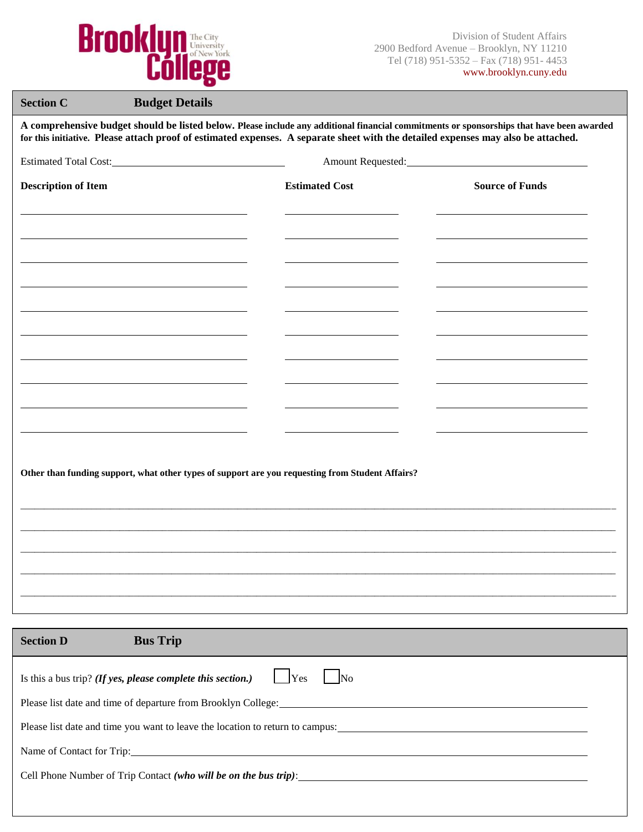

| <b>Budget Details</b><br><b>Section C</b>                                                                                                                                                                                                                                      |                                                |                        |  |  |
|--------------------------------------------------------------------------------------------------------------------------------------------------------------------------------------------------------------------------------------------------------------------------------|------------------------------------------------|------------------------|--|--|
| A comprehensive budget should be listed below. Please include any additional financial commitments or sponsorships that have been awarded<br>for this initiative. Please attach proof of estimated expenses. A separate sheet with the detailed expenses may also be attached. |                                                |                        |  |  |
|                                                                                                                                                                                                                                                                                | Estimated Total Cost:<br><u>External Cost:</u> |                        |  |  |
| <b>Description of Item</b>                                                                                                                                                                                                                                                     | <b>Estimated Cost</b>                          | <b>Source of Funds</b> |  |  |
|                                                                                                                                                                                                                                                                                |                                                |                        |  |  |
|                                                                                                                                                                                                                                                                                |                                                |                        |  |  |
|                                                                                                                                                                                                                                                                                |                                                |                        |  |  |
|                                                                                                                                                                                                                                                                                |                                                |                        |  |  |
|                                                                                                                                                                                                                                                                                |                                                |                        |  |  |
|                                                                                                                                                                                                                                                                                |                                                |                        |  |  |
|                                                                                                                                                                                                                                                                                |                                                |                        |  |  |
|                                                                                                                                                                                                                                                                                |                                                |                        |  |  |
|                                                                                                                                                                                                                                                                                |                                                |                        |  |  |
|                                                                                                                                                                                                                                                                                |                                                |                        |  |  |
|                                                                                                                                                                                                                                                                                |                                                |                        |  |  |
| Other than funding support, what other types of support are you requesting from Student Affairs?                                                                                                                                                                               |                                                |                        |  |  |
|                                                                                                                                                                                                                                                                                |                                                |                        |  |  |
|                                                                                                                                                                                                                                                                                |                                                |                        |  |  |
|                                                                                                                                                                                                                                                                                |                                                |                        |  |  |
|                                                                                                                                                                                                                                                                                |                                                |                        |  |  |
|                                                                                                                                                                                                                                                                                |                                                |                        |  |  |
|                                                                                                                                                                                                                                                                                |                                                |                        |  |  |
| <b>Bus Trip</b><br><b>Section D</b>                                                                                                                                                                                                                                            |                                                |                        |  |  |
| Is this a bus trip? (If yes, please complete this section.)                                                                                                                                                                                                                    | Yes<br>N <sub>0</sub>                          |                        |  |  |
| Please list date and time of departure from Brooklyn College:                                                                                                                                                                                                                  |                                                |                        |  |  |
| Please list date and time you want to leave the location to return to campus:                                                                                                                                                                                                  |                                                |                        |  |  |
|                                                                                                                                                                                                                                                                                |                                                |                        |  |  |

Name of Contact for Trip:

Cell Phone Number of Trip Contact *(who will be on the bus trip)*: